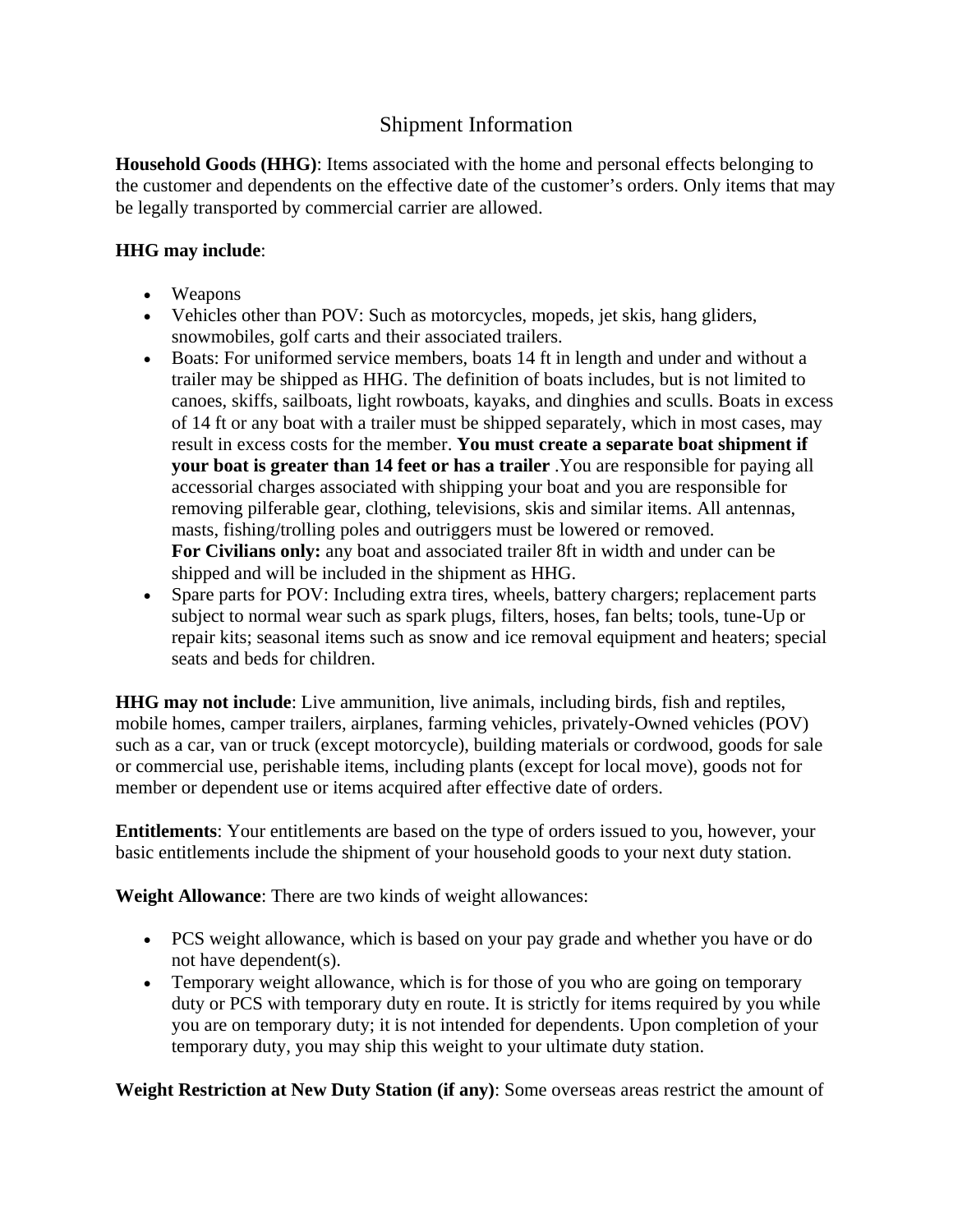# Shipment Information

**Household Goods (HHG)**: Items associated with the home and personal effects belonging to the customer and dependents on the effective date of the customer's orders. Only items that may be legally transported by commercial carrier are allowed.

## **HHG may include**:

- Weapons
- Vehicles other than POV: Such as motorcycles, mopeds, jet skis, hang gliders, snowmobiles, golf carts and their associated trailers.
- Boats: For uniformed service members, boats 14 ft in length and under and without a trailer may be shipped as HHG. The definition of boats includes, but is not limited to canoes, skiffs, sailboats, light rowboats, kayaks, and dinghies and sculls. Boats in excess of 14 ft or any boat with a trailer must be shipped separately, which in most cases, may result in excess costs for the member. **You must create a separate boat shipment if your boat is greater than 14 feet or has a trailer** .You are responsible for paying all accessorial charges associated with shipping your boat and you are responsible for removing pilferable gear, clothing, televisions, skis and similar items. All antennas, masts, fishing/trolling poles and outriggers must be lowered or removed. **For Civilians only:** any boat and associated trailer 8ft in width and under can be shipped and will be included in the shipment as HHG.
- Spare parts for POV: Including extra tires, wheels, battery chargers; replacement parts subject to normal wear such as spark plugs, filters, hoses, fan belts; tools, tune-Up or repair kits; seasonal items such as snow and ice removal equipment and heaters; special seats and beds for children.

**HHG may not include**: Live ammunition, live animals, including birds, fish and reptiles, mobile homes, camper trailers, airplanes, farming vehicles, privately-Owned vehicles (POV) such as a car, van or truck (except motorcycle), building materials or cordwood, goods for sale or commercial use, perishable items, including plants (except for local move), goods not for member or dependent use or items acquired after effective date of orders.

**Entitlements**: Your entitlements are based on the type of orders issued to you, however, your basic entitlements include the shipment of your household goods to your next duty station.

**Weight Allowance**: There are two kinds of weight allowances:

- PCS weight allowance, which is based on your pay grade and whether you have or do not have dependent(s).
- Temporary weight allowance, which is for those of you who are going on temporary duty or PCS with temporary duty en route. It is strictly for items required by you while you are on temporary duty; it is not intended for dependents. Upon completion of your temporary duty, you may ship this weight to your ultimate duty station.

**Weight Restriction at New Duty Station (if any)**: Some overseas areas restrict the amount of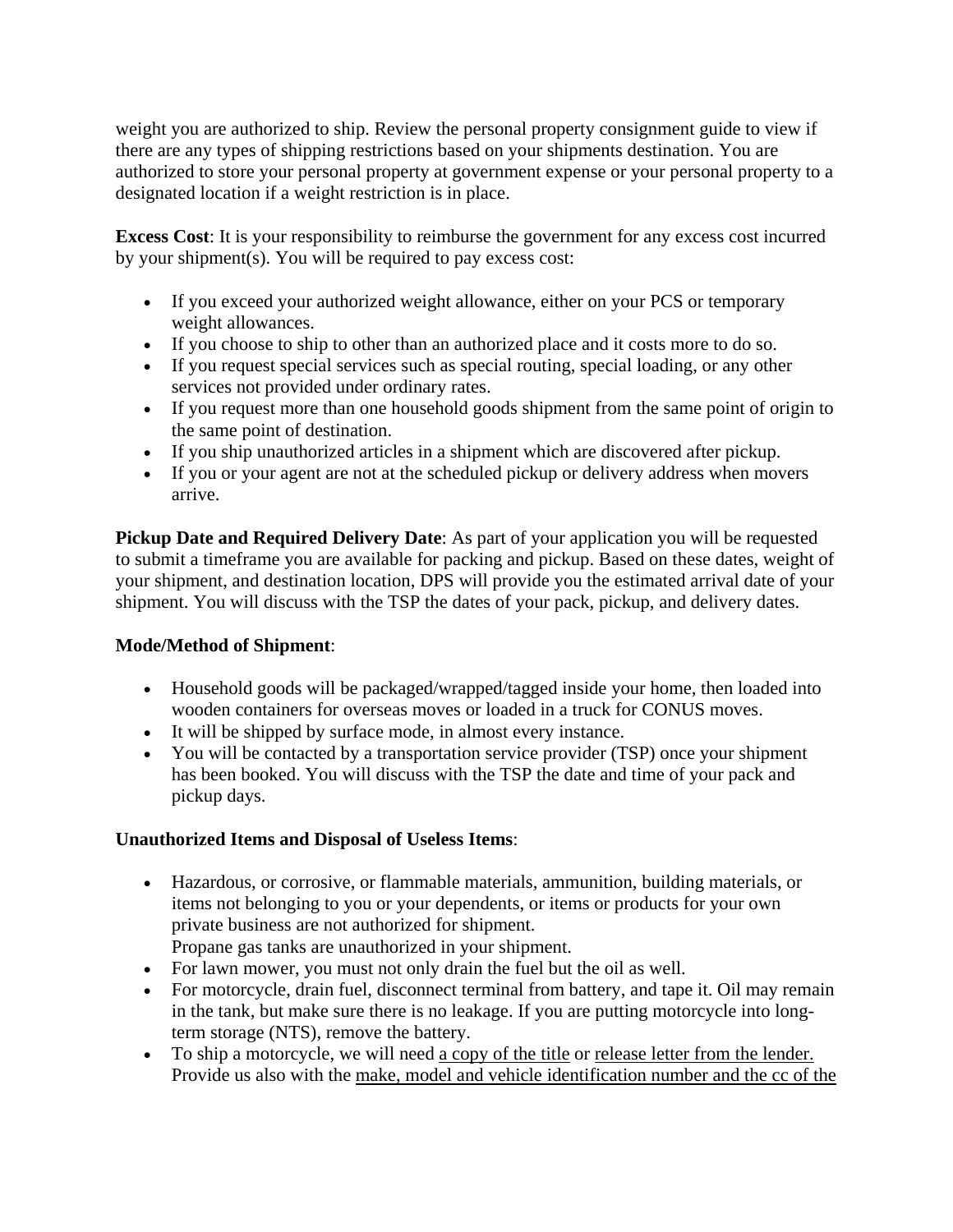weight you are authorized to ship. Review the personal property consignment guide to view if there are any types of shipping restrictions based on your shipments destination. You are authorized to store your personal property at government expense or your personal property to a designated location if a weight restriction is in place.

**Excess Cost**: It is your responsibility to reimburse the government for any excess cost incurred by your shipment(s). You will be required to pay excess cost:

- If you exceed your authorized weight allowance, either on your PCS or temporary weight allowances.
- If you choose to ship to other than an authorized place and it costs more to do so.
- If you request special services such as special routing, special loading, or any other services not provided under ordinary rates.
- If you request more than one household goods shipment from the same point of origin to the same point of destination.
- If you ship unauthorized articles in a shipment which are discovered after pickup.
- If you or your agent are not at the scheduled pickup or delivery address when movers arrive.

**Pickup Date and Required Delivery Date**: As part of your application you will be requested to submit a timeframe you are available for packing and pickup. Based on these dates, weight of your shipment, and destination location, DPS will provide you the estimated arrival date of your shipment. You will discuss with the TSP the dates of your pack, pickup, and delivery dates.

# **Mode/Method of Shipment**:

- Household goods will be packaged/wrapped/tagged inside your home, then loaded into wooden containers for overseas moves or loaded in a truck for CONUS moves.
- It will be shipped by surface mode, in almost every instance.
- You will be contacted by a transportation service provider (TSP) once your shipment has been booked. You will discuss with the TSP the date and time of your pack and pickup days.

# **Unauthorized Items and Disposal of Useless Items**:

- Hazardous, or corrosive, or flammable materials, ammunition, building materials, or items not belonging to you or your dependents, or items or products for your own private business are not authorized for shipment.
	- Propane gas tanks are unauthorized in your shipment.
- For lawn mower, you must not only drain the fuel but the oil as well.
- For motorcycle, drain fuel, disconnect terminal from battery, and tape it. Oil may remain in the tank, but make sure there is no leakage. If you are putting motorcycle into longterm storage (NTS), remove the battery.
- To ship a motorcycle, we will need a copy of the title or release letter from the lender. Provide us also with the make, model and vehicle identification number and the cc of the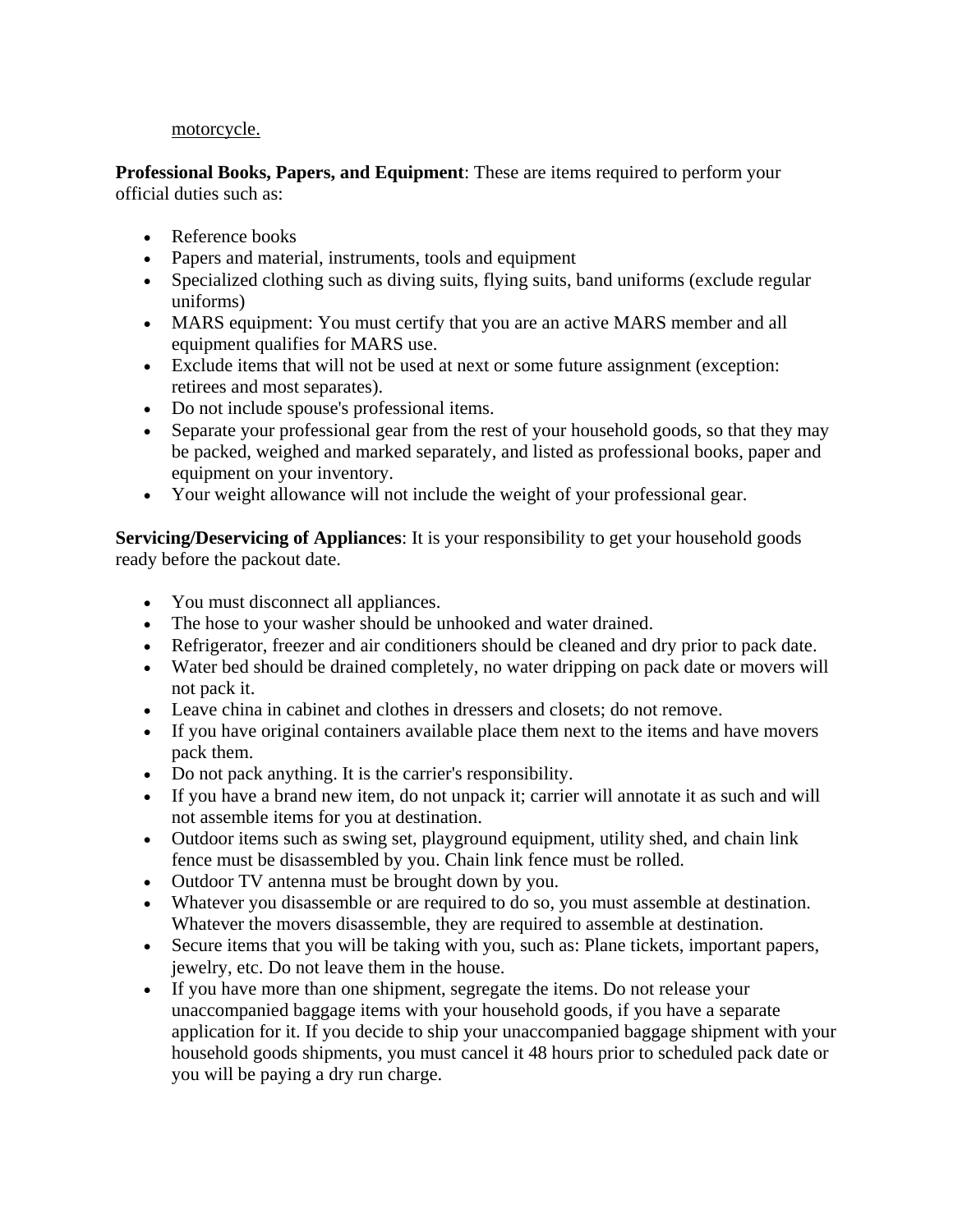#### motorcycle.

**Professional Books, Papers, and Equipment**: These are items required to perform your official duties such as:

- Reference books
- Papers and material, instruments, tools and equipment
- Specialized clothing such as diving suits, flying suits, band uniforms (exclude regular uniforms)
- MARS equipment: You must certify that you are an active MARS member and all equipment qualifies for MARS use.
- Exclude items that will not be used at next or some future assignment (exception: retirees and most separates).
- Do not include spouse's professional items.
- Separate your professional gear from the rest of your household goods, so that they may be packed, weighed and marked separately, and listed as professional books, paper and equipment on your inventory.
- Your weight allowance will not include the weight of your professional gear.

**Servicing/Deservicing of Appliances**: It is your responsibility to get your household goods ready before the packout date.

- You must disconnect all appliances.
- The hose to your washer should be unhooked and water drained.
- Refrigerator, freezer and air conditioners should be cleaned and dry prior to pack date.
- Water bed should be drained completely, no water dripping on pack date or movers will not pack it.
- Leave china in cabinet and clothes in dressers and closets; do not remove.
- If you have original containers available place them next to the items and have movers pack them.
- Do not pack anything. It is the carrier's responsibility.
- If you have a brand new item, do not unpack it; carrier will annotate it as such and will not assemble items for you at destination.
- Outdoor items such as swing set, playground equipment, utility shed, and chain link fence must be disassembled by you. Chain link fence must be rolled.
- Outdoor TV antenna must be brought down by you.
- Whatever you disassemble or are required to do so, you must assemble at destination. Whatever the movers disassemble, they are required to assemble at destination.
- Secure items that you will be taking with you, such as: Plane tickets, important papers, jewelry, etc. Do not leave them in the house.
- If you have more than one shipment, segregate the items. Do not release your unaccompanied baggage items with your household goods, if you have a separate application for it. If you decide to ship your unaccompanied baggage shipment with your household goods shipments, you must cancel it 48 hours prior to scheduled pack date or you will be paying a dry run charge.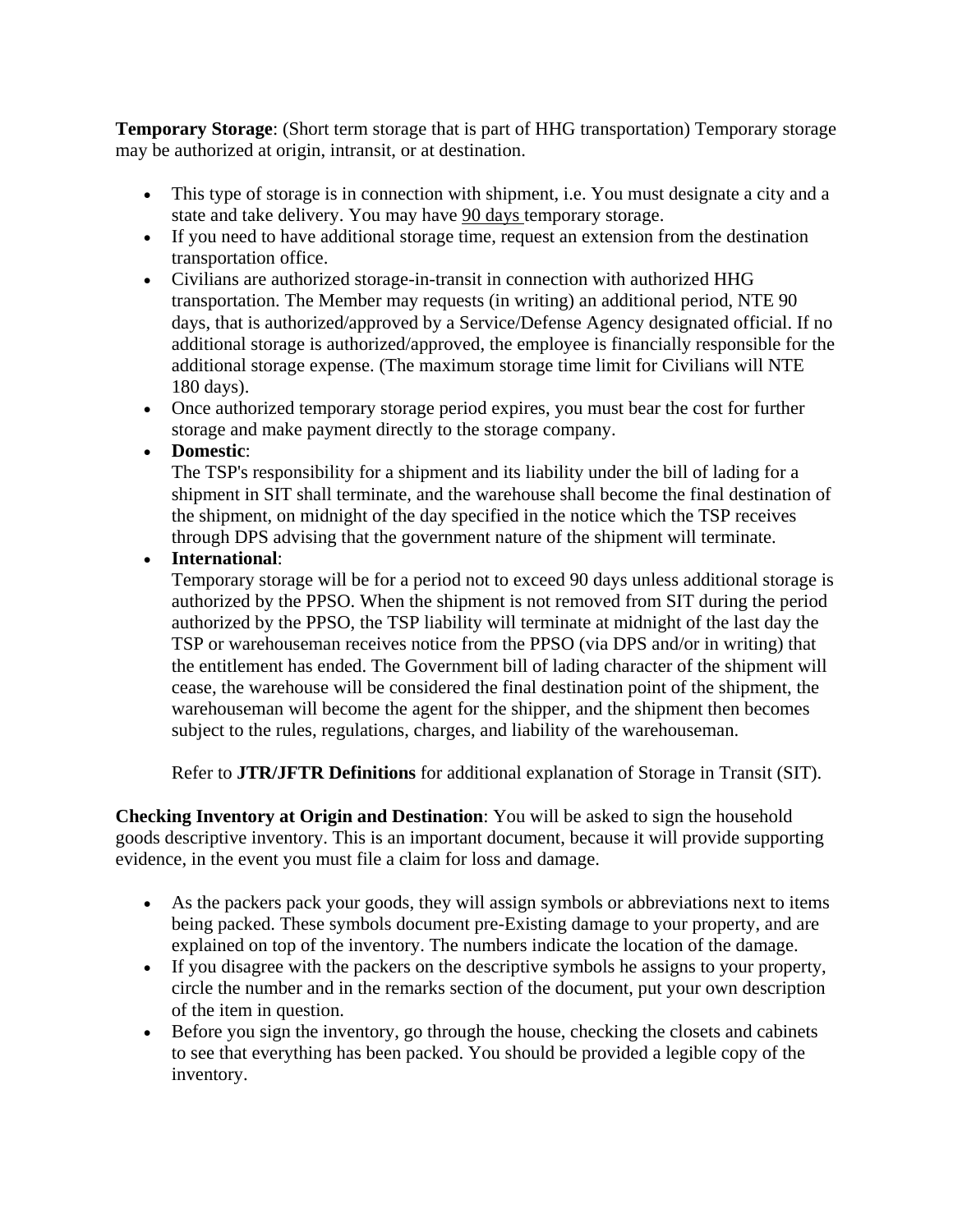**Temporary Storage**: (Short term storage that is part of HHG transportation) Temporary storage may be authorized at origin, intransit, or at destination.

- This type of storage is in connection with shipment, i.e. You must designate a city and a state and take delivery. You may have 90 days temporary storage.
- If you need to have additional storage time, request an extension from the destination transportation office.
- Civilians are authorized storage-in-transit in connection with authorized HHG transportation. The Member may requests (in writing) an additional period, NTE 90 days, that is authorized/approved by a Service/Defense Agency designated official. If no additional storage is authorized/approved, the employee is financially responsible for the additional storage expense. (The maximum storage time limit for Civilians will NTE 180 days).
- Once authorized temporary storage period expires, you must bear the cost for further storage and make payment directly to the storage company.
- **Domestic**:

The TSP's responsibility for a shipment and its liability under the bill of lading for a shipment in SIT shall terminate, and the warehouse shall become the final destination of the shipment, on midnight of the day specified in the notice which the TSP receives through DPS advising that the government nature of the shipment will terminate.

• **International**:

Temporary storage will be for a period not to exceed 90 days unless additional storage is authorized by the PPSO. When the shipment is not removed from SIT during the period authorized by the PPSO, the TSP liability will terminate at midnight of the last day the TSP or warehouseman receives notice from the PPSO (via DPS and/or in writing) that the entitlement has ended. The Government bill of lading character of the shipment will cease, the warehouse will be considered the final destination point of the shipment, the warehouseman will become the agent for the shipper, and the shipment then becomes subject to the rules, regulations, charges, and liability of the warehouseman.

Refer to **JTR/JFTR Definitions** for additional explanation of Storage in Transit (SIT).

**Checking Inventory at Origin and Destination**: You will be asked to sign the household goods descriptive inventory. This is an important document, because it will provide supporting evidence, in the event you must file a claim for loss and damage.

- As the packers pack your goods, they will assign symbols or abbreviations next to items being packed. These symbols document pre-Existing damage to your property, and are explained on top of the inventory. The numbers indicate the location of the damage.
- If you disagree with the packers on the descriptive symbols he assigns to your property, circle the number and in the remarks section of the document, put your own description of the item in question.
- Before you sign the inventory, go through the house, checking the closets and cabinets to see that everything has been packed. You should be provided a legible copy of the inventory.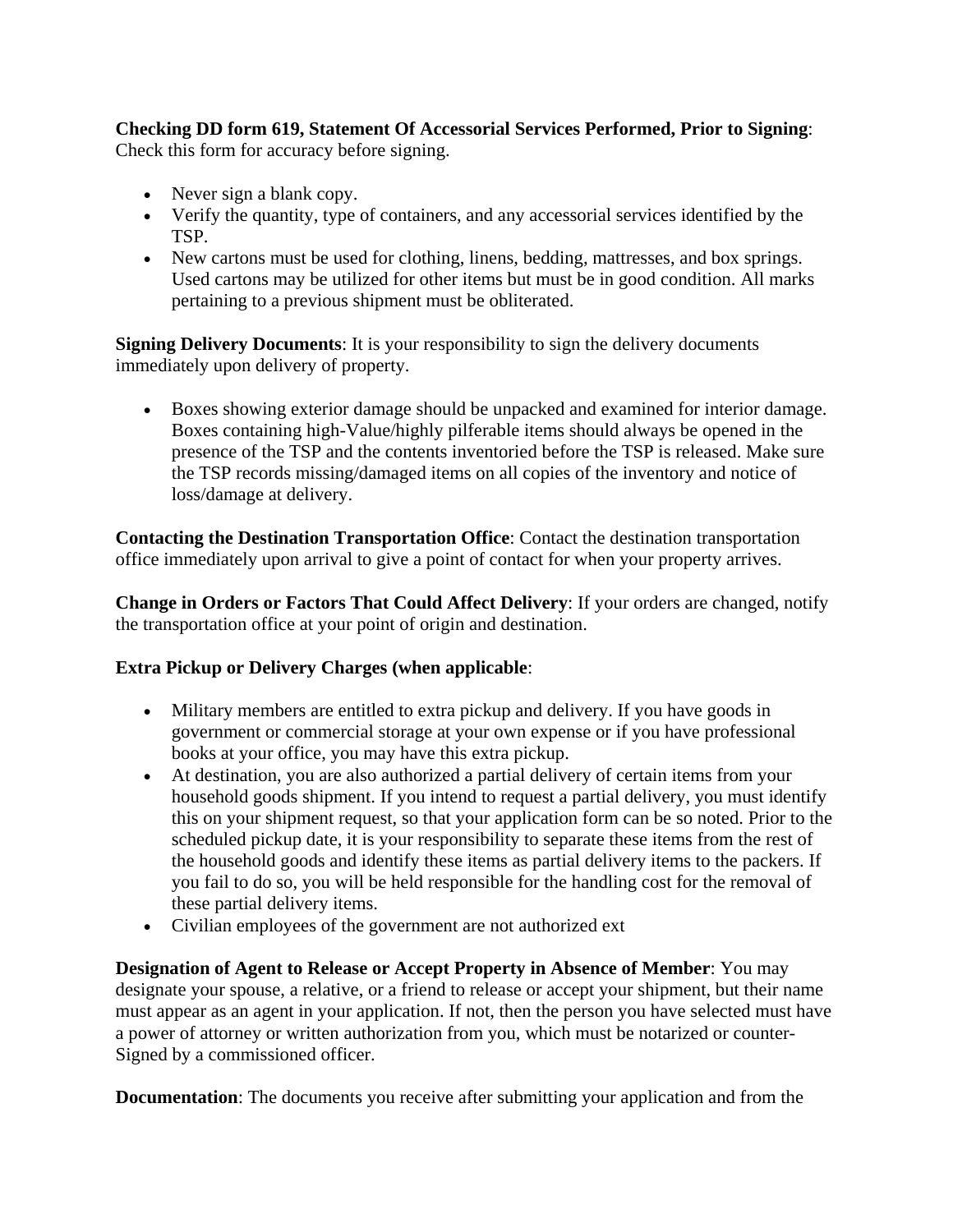**Checking DD form 619, Statement Of Accessorial Services Performed, Prior to Signing**: Check this form for accuracy before signing.

- Never sign a blank copy.
- Verify the quantity, type of containers, and any accessorial services identified by the TSP.
- New cartons must be used for clothing, linens, bedding, mattresses, and box springs. Used cartons may be utilized for other items but must be in good condition. All marks pertaining to a previous shipment must be obliterated.

**Signing Delivery Documents**: It is your responsibility to sign the delivery documents immediately upon delivery of property.

• Boxes showing exterior damage should be unpacked and examined for interior damage. Boxes containing high-Value/highly pilferable items should always be opened in the presence of the TSP and the contents inventoried before the TSP is released. Make sure the TSP records missing/damaged items on all copies of the inventory and notice of loss/damage at delivery.

**Contacting the Destination Transportation Office**: Contact the destination transportation office immediately upon arrival to give a point of contact for when your property arrives.

**Change in Orders or Factors That Could Affect Delivery**: If your orders are changed, notify the transportation office at your point of origin and destination.

# **Extra Pickup or Delivery Charges (when applicable**:

- Military members are entitled to extra pickup and delivery. If you have goods in government or commercial storage at your own expense or if you have professional books at your office, you may have this extra pickup.
- At destination, you are also authorized a partial delivery of certain items from your household goods shipment. If you intend to request a partial delivery, you must identify this on your shipment request, so that your application form can be so noted. Prior to the scheduled pickup date, it is your responsibility to separate these items from the rest of the household goods and identify these items as partial delivery items to the packers. If you fail to do so, you will be held responsible for the handling cost for the removal of these partial delivery items.
- Civilian employees of the government are not authorized ext

**Designation of Agent to Release or Accept Property in Absence of Member**: You may designate your spouse, a relative, or a friend to release or accept your shipment, but their name must appear as an agent in your application. If not, then the person you have selected must have a power of attorney or written authorization from you, which must be notarized or counter-Signed by a commissioned officer.

**Documentation**: The documents you receive after submitting your application and from the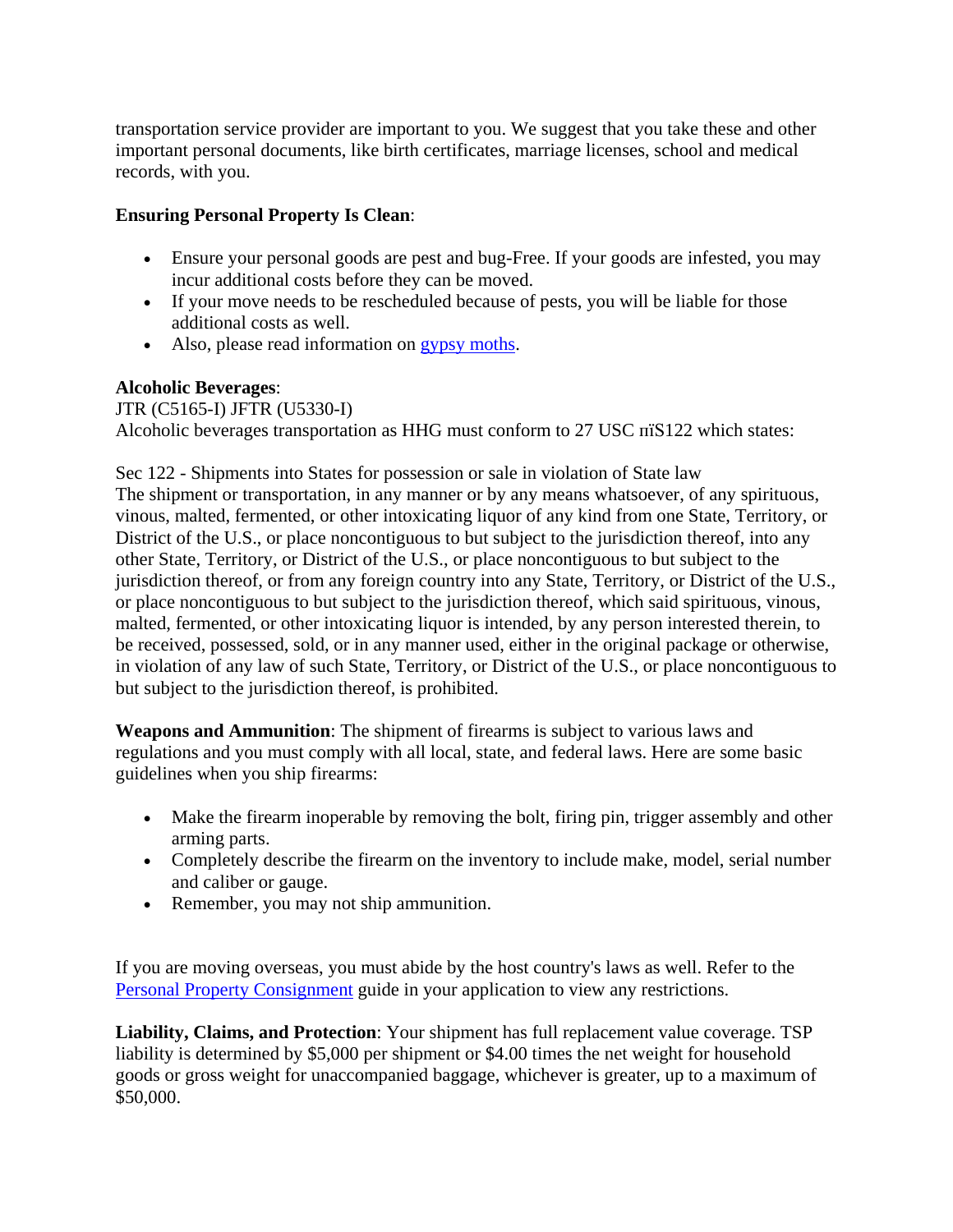transportation service provider are important to you. We suggest that you take these and other important personal documents, like birth certificates, marriage licenses, school and medical records, with you.

## **Ensuring Personal Property Is Clean**:

- Ensure your personal goods are pest and bug-Free. If your goods are infested, you may incur additional costs before they can be moved.
- If your move needs to be rescheduled because of pests, you will be liable for those additional costs as well.
- Also, please read information on [gypsy moths](http://www.aphis.usda.gov/lpa/pubs/pub_phgmoth.pdf).

### **Alcoholic Beverages**:

JTR (C5165-I) JFTR (U5330-I) Alcoholic beverages transportation as HHG must conform to 27 USC  $\overline{n}$ S122 which states:

Sec 122 - Shipments into States for possession or sale in violation of State law The shipment or transportation, in any manner or by any means whatsoever, of any spirituous, vinous, malted, fermented, or other intoxicating liquor of any kind from one State, Territory, or District of the U.S., or place noncontiguous to but subject to the jurisdiction thereof, into any other State, Territory, or District of the U.S., or place noncontiguous to but subject to the jurisdiction thereof, or from any foreign country into any State, Territory, or District of the U.S., or place noncontiguous to but subject to the jurisdiction thereof, which said spirituous, vinous, malted, fermented, or other intoxicating liquor is intended, by any person interested therein, to be received, possessed, sold, or in any manner used, either in the original package or otherwise, in violation of any law of such State, Territory, or District of the U.S., or place noncontiguous to but subject to the jurisdiction thereof, is prohibited.

**Weapons and Ammunition**: The shipment of firearms is subject to various laws and regulations and you must comply with all local, state, and federal laws. Here are some basic guidelines when you ship firearms:

- Make the firearm inoperable by removing the bolt, firing pin, trigger assembly and other arming parts.
- Completely describe the firearm on the inventory to include make, model, serial number and caliber or gauge.
- Remember, you may not ship ammunition.

If you are moving overseas, you must abide by the host country's laws as well. Refer to the [Personal Property Consignment](https://training.dps.mtmc.gov/ppcig) guide in your application to view any restrictions.

**Liability, Claims, and Protection**: Your shipment has full replacement value coverage. TSP liability is determined by \$5,000 per shipment or \$4.00 times the net weight for household goods or gross weight for unaccompanied baggage, whichever is greater, up to a maximum of \$50,000.